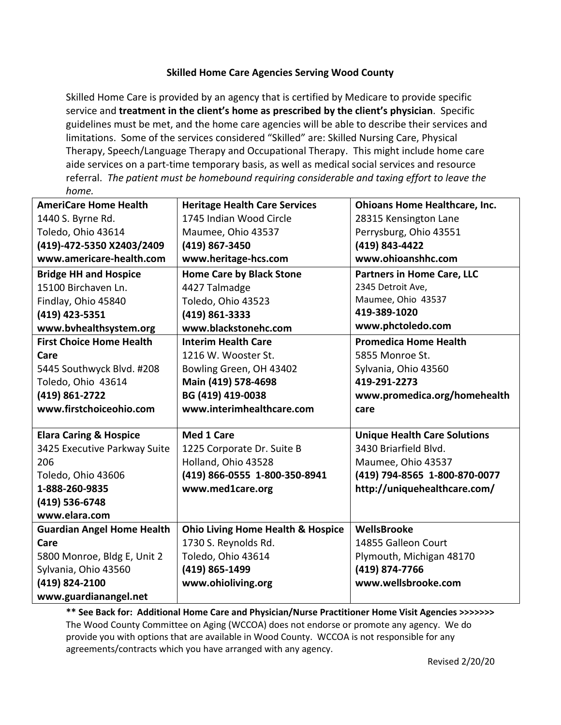## **Skilled Home Care Agencies Serving Wood County**

Skilled Home Care is provided by an agency that is certified by Medicare to provide specific service and **treatment in the client's home as prescribed by the client's physician**. Specific guidelines must be met, and the home care agencies will be able to describe their services and limitations. Some of the services considered "Skilled" are: Skilled Nursing Care, Physical Therapy, Speech/Language Therapy and Occupational Therapy. This might include home care aide services on a part-time temporary basis, as well as medical social services and resource referral. *The patient must be homebound requiring considerable and taxing effort to leave the home.*

| <b>AmeriCare Home Health</b>      | <b>Heritage Health Care Services</b>         | <b>Ohioans Home Healthcare, Inc.</b> |
|-----------------------------------|----------------------------------------------|--------------------------------------|
| 1440 S. Byrne Rd.                 | 1745 Indian Wood Circle                      | 28315 Kensington Lane                |
| Toledo, Ohio 43614                | Maumee, Ohio 43537                           | Perrysburg, Ohio 43551               |
| (419)-472-5350 X2403/2409         | (419) 867-3450                               | (419) 843-4422                       |
| www.americare-health.com          | www.heritage-hcs.com                         | www.ohioanshhc.com                   |
| <b>Bridge HH and Hospice</b>      | <b>Home Care by Black Stone</b>              | <b>Partners in Home Care, LLC</b>    |
| 15100 Birchaven Ln.               | 4427 Talmadge                                | 2345 Detroit Ave,                    |
| Findlay, Ohio 45840               | Toledo, Ohio 43523                           | Maumee, Ohio 43537                   |
| (419) 423-5351                    | (419) 861-3333                               | 419-389-1020                         |
| www.bvhealthsystem.org            | www.blackstonehc.com                         | www.phctoledo.com                    |
| <b>First Choice Home Health</b>   | <b>Interim Health Care</b>                   | <b>Promedica Home Health</b>         |
| Care                              | 1216 W. Wooster St.                          | 5855 Monroe St.                      |
| 5445 Southwyck Blvd. #208         | Bowling Green, OH 43402                      | Sylvania, Ohio 43560                 |
| Toledo, Ohio 43614                | Main (419) 578-4698                          | 419-291-2273                         |
| (419) 861-2722                    | BG (419) 419-0038                            | www.promedica.org/homehealth         |
| www.firstchoiceohio.com           | www.interimhealthcare.com                    | care                                 |
|                                   |                                              |                                      |
| <b>Elara Caring &amp; Hospice</b> | <b>Med 1 Care</b>                            | <b>Unique Health Care Solutions</b>  |
| 3425 Executive Parkway Suite      | 1225 Corporate Dr. Suite B                   | 3430 Briarfield Blvd.                |
| 206                               | Holland, Ohio 43528                          | Maumee, Ohio 43537                   |
| Toledo, Ohio 43606                | (419) 866-0555 1-800-350-8941                | (419) 794-8565 1-800-870-0077        |
| 1-888-260-9835                    | www.med1care.org                             | http://uniquehealthcare.com/         |
| (419) 536-6748                    |                                              |                                      |
| www.elara.com                     |                                              |                                      |
| <b>Guardian Angel Home Health</b> | <b>Ohio Living Home Health &amp; Hospice</b> | <b>WellsBrooke</b>                   |
| Care                              | 1730 S. Reynolds Rd.                         | 14855 Galleon Court                  |
| 5800 Monroe, Bldg E, Unit 2       | Toledo, Ohio 43614                           | Plymouth, Michigan 48170             |
| Sylvania, Ohio 43560              | (419) 865-1499                               | (419) 874-7766                       |
| (419) 824-2100                    | www.ohioliving.org                           | www.wellsbrooke.com                  |
| www.guardianangel.net             |                                              |                                      |

**\*\* See Back for: Additional Home Care and Physician/Nurse Practitioner Home Visit Agencies >>>>>>>** The Wood County Committee on Aging (WCCOA) does not endorse or promote any agency. We do provide you with options that are available in Wood County. WCCOA is not responsible for any agreements/contracts which you have arranged with any agency.